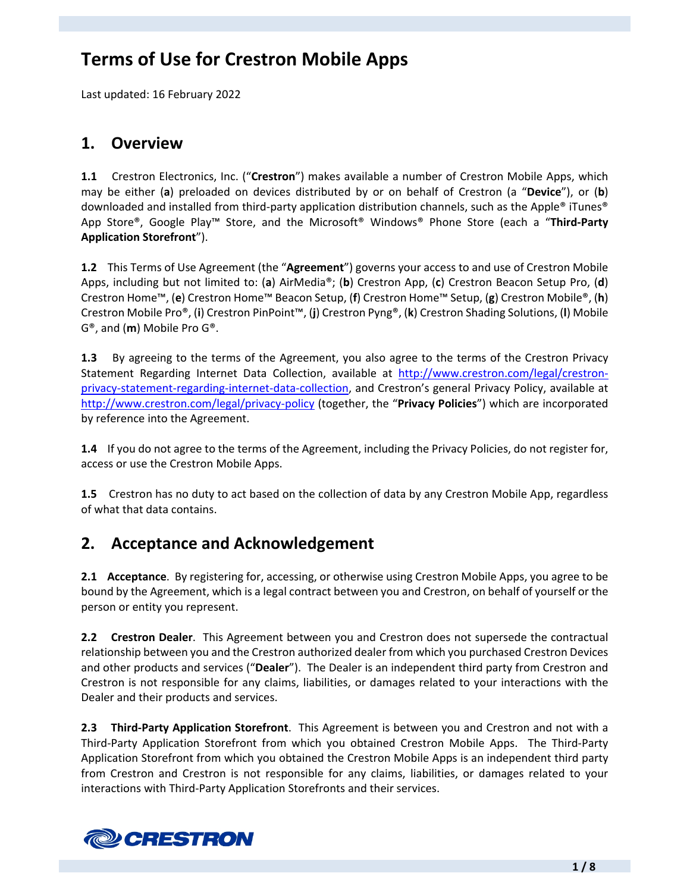# **Terms of Use for Crestron Mobile Apps**

Last updated: 16 February 2022

#### **1. Overview**

**1.1** Crestron Electronics, Inc. ("**Crestron**") makes available a number of Crestron Mobile Apps, which may be either (**a**) preloaded on devices distributed by or on behalf of Crestron (a "**Device**"), or (**b**) downloaded and installed from third‐party application distribution channels, such as the Apple® iTunes® App Store®, Google Play™ Store, and the Microsoft® Windows® Phone Store (each a "**Third‐Party Application Storefront**").

**1.2** This Terms of Use Agreement (the "**Agreement**") governs your access to and use of Crestron Mobile Apps, including but not limited to: (**a**) AirMedia®; (**b**) Crestron App, (**c**) Crestron Beacon Setup Pro, (**d**) Crestron Home™, (**e**) Crestron Home™ Beacon Setup, (**f**) Crestron Home™ Setup, (**g**) Crestron Mobile®, (**h**) Crestron Mobile Pro®, (**i**) Crestron PinPoint™, (**j**) Crestron Pyng®, (**k**) Crestron Shading Solutions, (**l**) Mobile G®, and (**m**) Mobile Pro G®.

**1.3** By agreeing to the terms of the Agreement, you also agree to the terms of the Crestron Privacy Statement Regarding Internet Data Collection, available at http://www.crestron.com/legal/crestron‐ privacy‐statement‐regarding‐internet‐data‐collection, and Crestron's general Privacy Policy, available at http://www.crestron.com/legal/privacy‐policy (together, the "**Privacy Policies**") which are incorporated by reference into the Agreement.

**1.4** If you do not agree to the terms of the Agreement, including the Privacy Policies, do not register for, access or use the Crestron Mobile Apps.

**1.5** Crestron has no duty to act based on the collection of data by any Crestron Mobile App, regardless of what that data contains.

# **2. Acceptance and Acknowledgement**

**2.1 Acceptance**. By registering for, accessing, or otherwise using Crestron Mobile Apps, you agree to be bound by the Agreement, which is a legal contract between you and Crestron, on behalf of yourself or the person or entity you represent.

**2.2 Crestron Dealer**. This Agreement between you and Crestron does not supersede the contractual relationship between you and the Crestron authorized dealer from which you purchased Crestron Devices and other products and services ("**Dealer**"). The Dealer is an independent third party from Crestron and Crestron is not responsible for any claims, liabilities, or damages related to your interactions with the Dealer and their products and services.

**2.3 Third‐Party Application Storefront**. This Agreement is between you and Crestron and not with a Third-Party Application Storefront from which you obtained Crestron Mobile Apps. The Third-Party Application Storefront from which you obtained the Crestron Mobile Apps is an independent third party from Crestron and Crestron is not responsible for any claims, liabilities, or damages related to your interactions with Third‐Party Application Storefronts and their services.

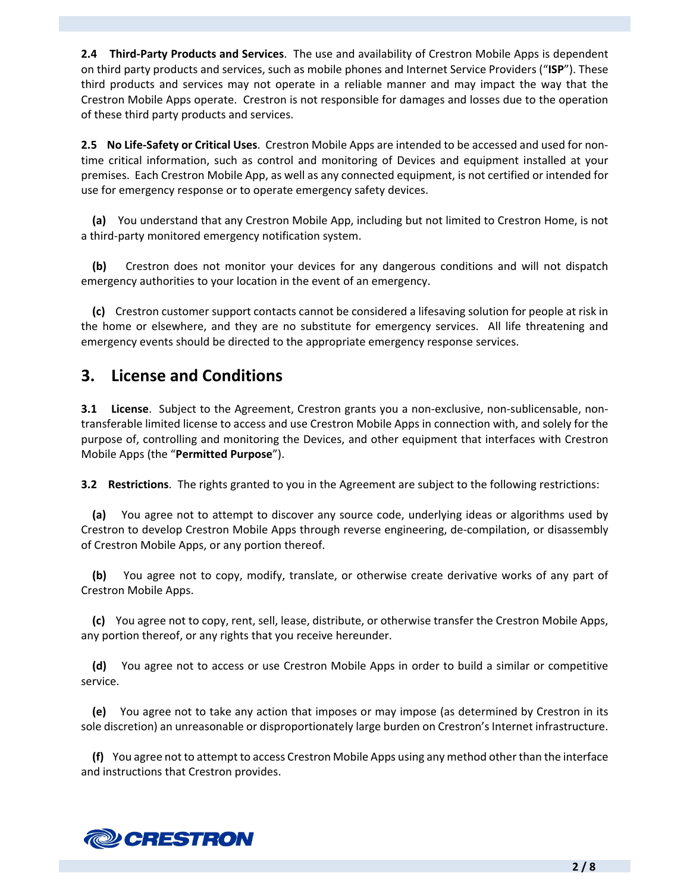**2.4 Third‐Party Products and Services**. The use and availability of Crestron Mobile Apps is dependent on third party products and services, such as mobile phones and Internet Service Providers ("**ISP**"). These third products and services may not operate in a reliable manner and may impact the way that the Crestron Mobile Apps operate. Crestron is not responsible for damages and losses due to the operation of these third party products and services.

**2.5 No Life‐Safety or Critical Uses**. Crestron Mobile Apps are intended to be accessed and used for non‐ time critical information, such as control and monitoring of Devices and equipment installed at your premises. Each Crestron Mobile App, as well as any connected equipment, is not certified or intended for use for emergency response or to operate emergency safety devices.

 **(a)** You understand that any Crestron Mobile App, including but not limited to Crestron Home, is not a third‐party monitored emergency notification system.

 **(b)** Crestron does not monitor your devices for any dangerous conditions and will not dispatch emergency authorities to your location in the event of an emergency.

 **(c)** Crestron customer support contacts cannot be considered a lifesaving solution for people at risk in the home or elsewhere, and they are no substitute for emergency services. All life threatening and emergency events should be directed to the appropriate emergency response services.

### **3. License and Conditions**

**3.1 License**. Subject to the Agreement, Crestron grants you a non-exclusive, non-sublicensable, nontransferable limited license to access and use Crestron Mobile Apps in connection with, and solely for the purpose of, controlling and monitoring the Devices, and other equipment that interfaces with Crestron Mobile Apps (the "**Permitted Purpose**").

**3.2 Restrictions**. The rights granted to you in the Agreement are subject to the following restrictions:

 **(a)** You agree not to attempt to discover any source code, underlying ideas or algorithms used by Crestron to develop Crestron Mobile Apps through reverse engineering, de‐compilation, or disassembly of Crestron Mobile Apps, or any portion thereof.

 **(b)** You agree not to copy, modify, translate, or otherwise create derivative works of any part of Crestron Mobile Apps.

 **(c)** You agree not to copy, rent, sell, lease, distribute, or otherwise transfer the Crestron Mobile Apps, any portion thereof, or any rights that you receive hereunder.

 **(d)** You agree not to access or use Crestron Mobile Apps in order to build a similar or competitive service.

 **(e)** You agree not to take any action that imposes or may impose (as determined by Crestron in its sole discretion) an unreasonable or disproportionately large burden on Crestron's Internet infrastructure.

 **(f)** You agree not to attempt to access Crestron Mobile Apps using any method other than the interface and instructions that Crestron provides.

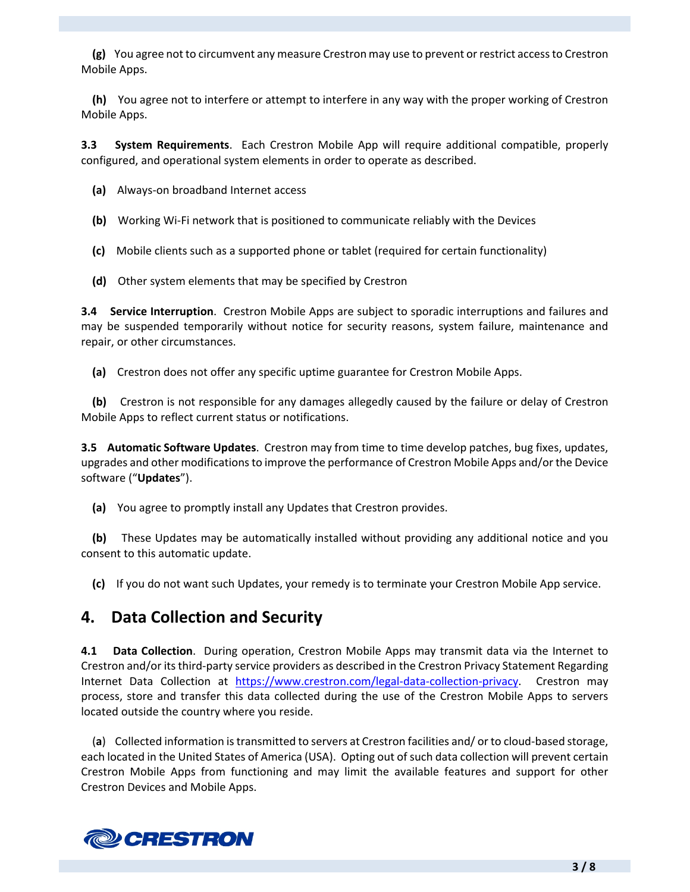**(g)** You agree not to circumvent any measure Crestron may use to prevent or restrict accessto Crestron Mobile Apps.

 **(h)** You agree not to interfere or attempt to interfere in any way with the proper working of Crestron Mobile Apps.

**3.3 System Requirements**. Each Crestron Mobile App will require additional compatible, properly configured, and operational system elements in order to operate as described.

- **(a)** Always‐on broadband Internet access
- **(b)** Working Wi‐Fi network that is positioned to communicate reliably with the Devices
- **(c)** Mobile clients such as a supported phone or tablet (required for certain functionality)
- **(d)** Other system elements that may be specified by Crestron

**3.4 Service Interruption**. Crestron Mobile Apps are subject to sporadic interruptions and failures and may be suspended temporarily without notice for security reasons, system failure, maintenance and repair, or other circumstances.

 **(a)** Crestron does not offer any specific uptime guarantee for Crestron Mobile Apps.

**(b)** Crestron is not responsible for any damages allegedly caused by the failure or delay of Crestron Mobile Apps to reflect current status or notifications.

**3.5 Automatic Software Updates**. Crestron may from time to time develop patches, bug fixes, updates, upgrades and other modificationsto improve the performance of Crestron Mobile Apps and/or the Device software ("**Updates**").

 **(a)** You agree to promptly install any Updates that Crestron provides.

 **(b)** These Updates may be automatically installed without providing any additional notice and you consent to this automatic update.

 **(c)** If you do not want such Updates, your remedy is to terminate your Crestron Mobile App service.

### **4. Data Collection and Security**

**4.1 Data Collection**. During operation, Crestron Mobile Apps may transmit data via the Internet to Crestron and/or its third-party service providers as described in the Crestron Privacy Statement Regarding Internet Data Collection at https://www.crestron.com/legal-data-collection-privacy. Crestron may process, store and transfer this data collected during the use of the Crestron Mobile Apps to servers located outside the country where you reside.

 (**a**) Collected information istransmitted to servers at Crestron facilities and/ or to cloud‐based storage, each located in the United States of America (USA). Opting out of such data collection will prevent certain Crestron Mobile Apps from functioning and may limit the available features and support for other Crestron Devices and Mobile Apps.

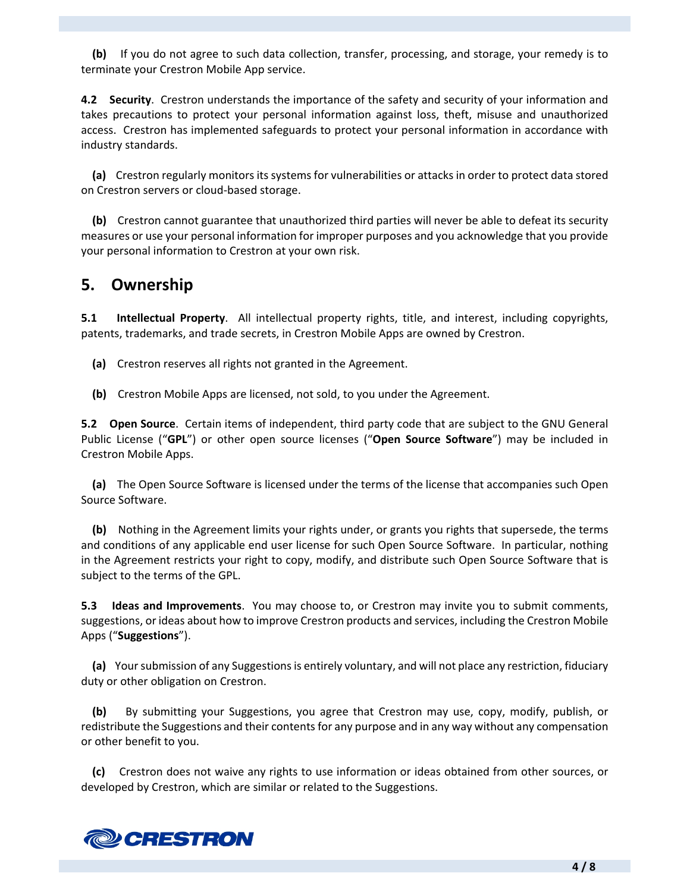**(b)** If you do not agree to such data collection, transfer, processing, and storage, your remedy is to terminate your Crestron Mobile App service.

**4.2 Security**. Crestron understands the importance of the safety and security of your information and takes precautions to protect your personal information against loss, theft, misuse and unauthorized access. Crestron has implemented safeguards to protect your personal information in accordance with industry standards.

 **(a)** Crestron regularly monitors its systems for vulnerabilities or attacks in order to protect data stored on Crestron servers or cloud‐based storage.

 **(b)** Crestron cannot guarantee that unauthorized third parties will never be able to defeat its security measures or use your personal information for improper purposes and you acknowledge that you provide your personal information to Crestron at your own risk.

### **5. Ownership**

**5.1 Intellectual Property**. All intellectual property rights, title, and interest, including copyrights, patents, trademarks, and trade secrets, in Crestron Mobile Apps are owned by Crestron.

- **(a)** Crestron reserves all rights not granted in the Agreement.
- **(b)** Crestron Mobile Apps are licensed, not sold, to you under the Agreement.

**5.2 Open Source**. Certain items of independent, third party code that are subject to the GNU General Public License ("**GPL**") or other open source licenses ("**Open Source Software**") may be included in Crestron Mobile Apps.

 **(a)** The Open Source Software is licensed under the terms of the license that accompanies such Open Source Software.

 **(b)** Nothing in the Agreement limits your rights under, or grants you rights that supersede, the terms and conditions of any applicable end user license for such Open Source Software. In particular, nothing in the Agreement restricts your right to copy, modify, and distribute such Open Source Software that is subject to the terms of the GPL.

**5.3 Ideas and Improvements**. You may choose to, or Crestron may invite you to submit comments, suggestions, or ideas about how to improve Crestron products and services, including the Crestron Mobile Apps ("**Suggestions**").

**(a)** Your submission of any Suggestions is entirely voluntary, and will not place any restriction, fiduciary duty or other obligation on Crestron.

 **(b)**  By submitting your Suggestions, you agree that Crestron may use, copy, modify, publish, or redistribute the Suggestions and their contents for any purpose and in any way without any compensation or other benefit to you.

 **(c)** Crestron does not waive any rights to use information or ideas obtained from other sources, or developed by Crestron, which are similar or related to the Suggestions.

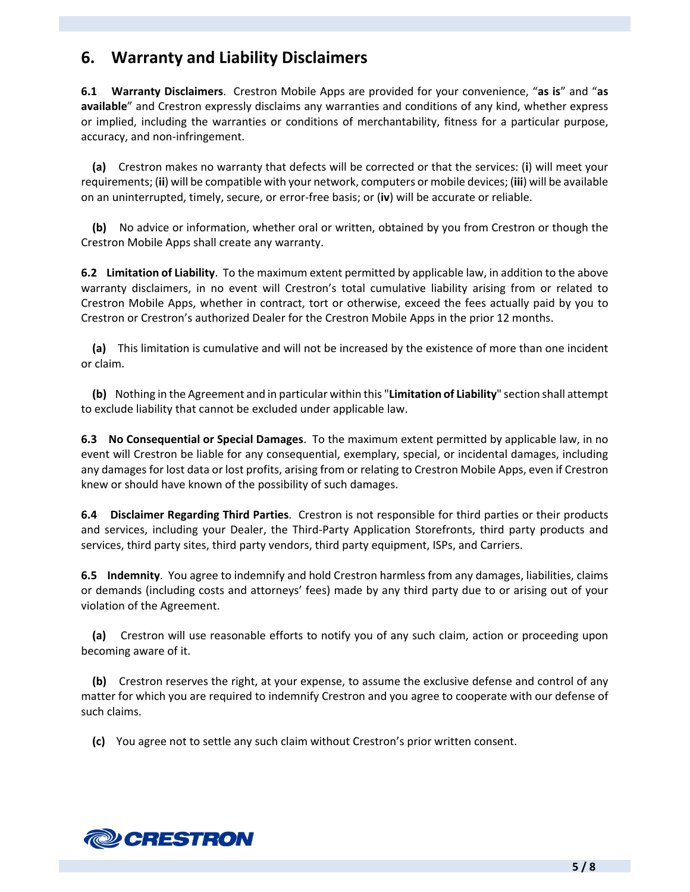# **6. Warranty and Liability Disclaimers**

**6.1 Warranty Disclaimers**. Crestron Mobile Apps are provided for your convenience, "**as is**" and "**as available**" and Crestron expressly disclaims any warranties and conditions of any kind, whether express or implied, including the warranties or conditions of merchantability, fitness for a particular purpose, accuracy, and non‐infringement.

 **(a)** Crestron makes no warranty that defects will be corrected or that the services: (**i**) will meet your requirements; (**ii**) will be compatible with your network, computers or mobile devices; (**iii**) will be available on an uninterrupted, timely, secure, or error‐free basis; or (**iv**) will be accurate or reliable.

**(b)** No advice or information, whether oral or written, obtained by you from Crestron or though the Crestron Mobile Apps shall create any warranty.

**6.2 Limitation of Liability**. To the maximum extent permitted by applicable law, in addition to the above warranty disclaimers, in no event will Crestron's total cumulative liability arising from or related to Crestron Mobile Apps, whether in contract, tort or otherwise, exceed the fees actually paid by you to Crestron or Crestron's authorized Dealer for the Crestron Mobile Apps in the prior 12 months.

 **(a)** This limitation is cumulative and will not be increased by the existence of more than one incident or claim.

 **(b)** Nothing in the Agreement and in particular within this "**Limitation of Liability**" section shall attempt to exclude liability that cannot be excluded under applicable law.

**6.3 No Consequential or Special Damages**. To the maximum extent permitted by applicable law, in no event will Crestron be liable for any consequential, exemplary, special, or incidental damages, including any damages for lost data or lost profits, arising from or relating to Crestron Mobile Apps, even if Crestron knew or should have known of the possibility of such damages.

**6.4 Disclaimer Regarding Third Parties**. Crestron is not responsible for third parties or their products and services, including your Dealer, the Third-Party Application Storefronts, third party products and services, third party sites, third party vendors, third party equipment, ISPs, and Carriers.

**6.5 Indemnity**. You agree to indemnify and hold Crestron harmless from any damages, liabilities, claims or demands (including costs and attorneys' fees) made by any third party due to or arising out of your violation of the Agreement.

 **(a)** Crestron will use reasonable efforts to notify you of any such claim, action or proceeding upon becoming aware of it.

 **(b)** Crestron reserves the right, at your expense, to assume the exclusive defense and control of any matter for which you are required to indemnify Crestron and you agree to cooperate with our defense of such claims.

 **(c)** You agree not to settle any such claim without Crestron's prior written consent.

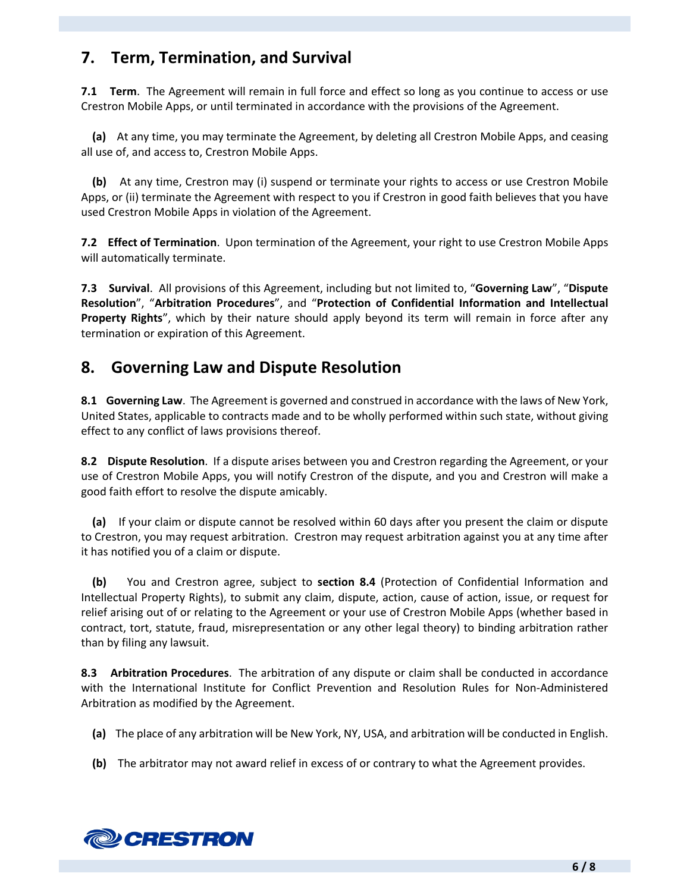# **7. Term, Termination, and Survival**

**7.1 Term.** The Agreement will remain in full force and effect so long as you continue to access or use Crestron Mobile Apps, or until terminated in accordance with the provisions of the Agreement.

 **(a)** At any time, you may terminate the Agreement, by deleting all Crestron Mobile Apps, and ceasing all use of, and access to, Crestron Mobile Apps.

 **(b)** At any time, Crestron may (i) suspend or terminate your rights to access or use Crestron Mobile Apps, or (ii) terminate the Agreement with respect to you if Crestron in good faith believes that you have used Crestron Mobile Apps in violation of the Agreement.

**7.2 Effect of Termination**. Upon termination of the Agreement, your right to use Crestron Mobile Apps will automatically terminate.

**7.3 Survival**. All provisions of this Agreement, including but not limited to, "**Governing Law**", "**Dispute Resolution**", "**Arbitration Procedures**", and "**Protection of Confidential Information and Intellectual Property Rights**", which by their nature should apply beyond its term will remain in force after any termination or expiration of this Agreement.

# **8. Governing Law and Dispute Resolution**

**8.1 Governing Law**. The Agreement is governed and construed in accordance with the laws of New York, United States, applicable to contracts made and to be wholly performed within such state, without giving effect to any conflict of laws provisions thereof.

**8.2 Dispute Resolution**. If a dispute arises between you and Crestron regarding the Agreement, or your use of Crestron Mobile Apps, you will notify Crestron of the dispute, and you and Crestron will make a good faith effort to resolve the dispute amicably.

 **(a)** If your claim or dispute cannot be resolved within 60 days after you present the claim or dispute to Crestron, you may request arbitration. Crestron may request arbitration against you at any time after it has notified you of a claim or dispute.

 **(b)**  You and Crestron agree, subject to **section 8.4** (Protection of Confidential Information and Intellectual Property Rights), to submit any claim, dispute, action, cause of action, issue, or request for relief arising out of or relating to the Agreement or your use of Crestron Mobile Apps (whether based in contract, tort, statute, fraud, misrepresentation or any other legal theory) to binding arbitration rather than by filing any lawsuit.

**8.3 Arbitration Procedures**. The arbitration of any dispute or claim shall be conducted in accordance with the International Institute for Conflict Prevention and Resolution Rules for Non-Administered Arbitration as modified by the Agreement.

- **(a)** The place of any arbitration will be New York, NY, USA, and arbitration will be conducted in English.
- **(b)** The arbitrator may not award relief in excess of or contrary to what the Agreement provides.

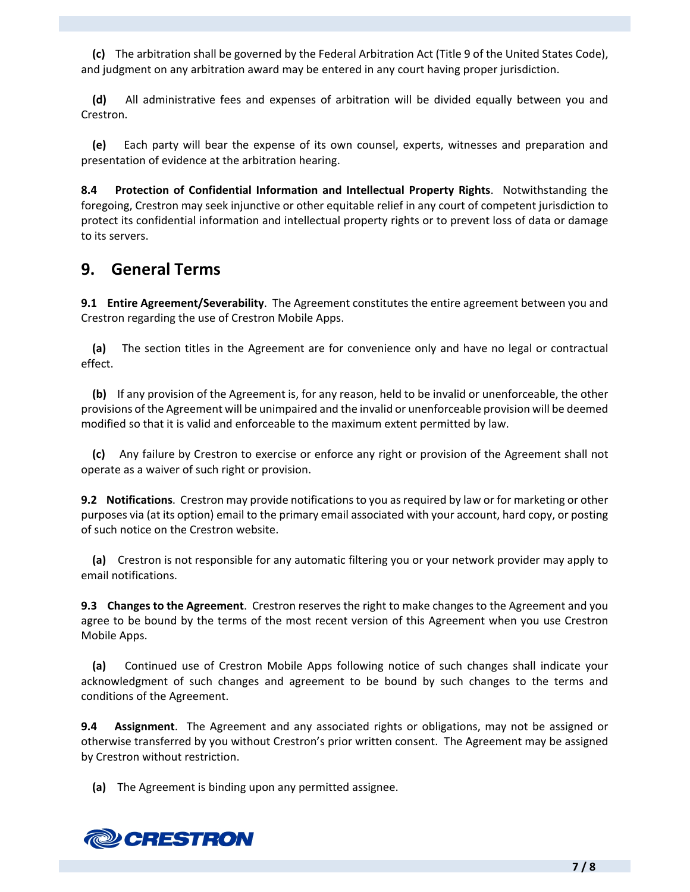**(c)** The arbitration shall be governed by the Federal Arbitration Act (Title 9 of the United States Code), and judgment on any arbitration award may be entered in any court having proper jurisdiction.

 **(d)**  All administrative fees and expenses of arbitration will be divided equally between you and Crestron.

 **(e)**  Each party will bear the expense of its own counsel, experts, witnesses and preparation and presentation of evidence at the arbitration hearing.

**8.4 Protection of Confidential Information and Intellectual Property Rights**. Notwithstanding the foregoing, Crestron may seek injunctive or other equitable relief in any court of competent jurisdiction to protect its confidential information and intellectual property rights or to prevent loss of data or damage to its servers.

### **9. General Terms**

**9.1 Entire Agreement/Severability**. The Agreement constitutes the entire agreement between you and Crestron regarding the use of Crestron Mobile Apps.

 **(a)** The section titles in the Agreement are for convenience only and have no legal or contractual effect.

 **(b)** If any provision of the Agreement is, for any reason, held to be invalid or unenforceable, the other provisions of the Agreement will be unimpaired and the invalid or unenforceable provision will be deemed modified so that it is valid and enforceable to the maximum extent permitted by law.

 **(c)** Any failure by Crestron to exercise or enforce any right or provision of the Agreement shall not operate as a waiver of such right or provision.

**9.2 Notifications**. Crestron may provide notifications to you asrequired by law or for marketing or other purposes via (at its option) email to the primary email associated with your account, hard copy, or posting of such notice on the Crestron website.

 **(a)** Crestron is not responsible for any automatic filtering you or your network provider may apply to email notifications.

**9.3 Changes to the Agreement**. Crestron reserves the right to make changes to the Agreement and you agree to be bound by the terms of the most recent version of this Agreement when you use Crestron Mobile Apps.

 **(a)**  Continued use of Crestron Mobile Apps following notice of such changes shall indicate your acknowledgment of such changes and agreement to be bound by such changes to the terms and conditions of the Agreement.

**9.4 Assignment**. The Agreement and any associated rights or obligations, may not be assigned or otherwise transferred by you without Crestron's prior written consent. The Agreement may be assigned by Crestron without restriction.

 **(a)** The Agreement is binding upon any permitted assignee.